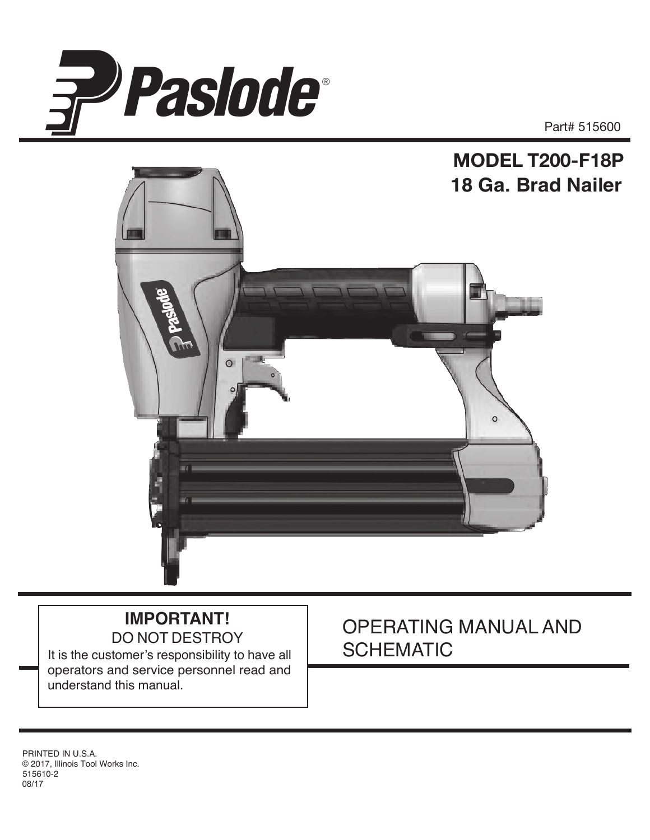



# **IMPORTANT!** DO NOT DESTROY

It is the customer's responsibility to have all operators and service personnel read and understand this manual.

# OPERATING MANUAL AND **SCHEMATIC**

515610-2 08/17 PRINTED IN U.S.A. © 2017, Illinois Tool Works Inc.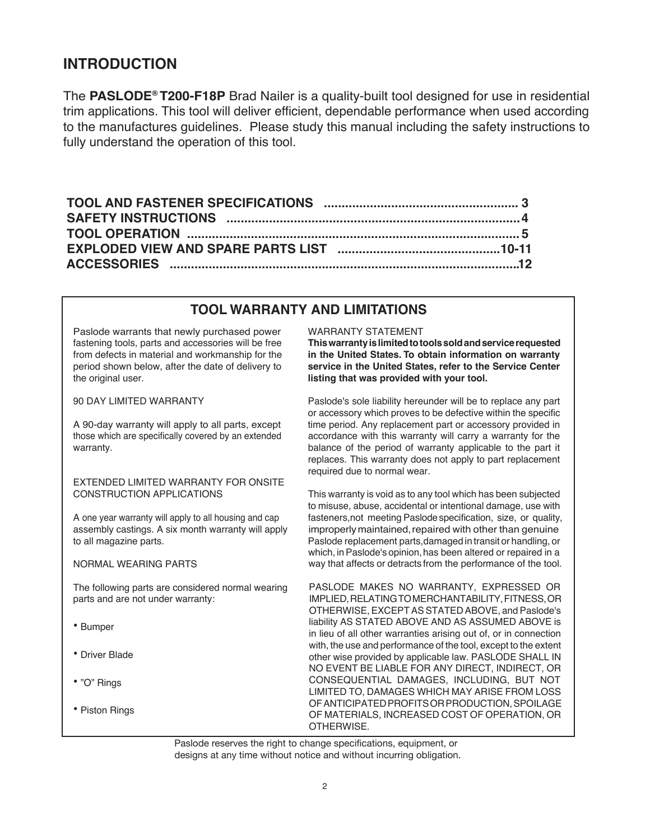## **INTRODUCTION**

The **PASLODE® T200-F18P** Brad Nailer is a quality-built tool designed for use in residential trim applications. This tool will deliver efficient, dependable performance when used according to the manufactures guidelines. Please study this manual including the safety instructions to fully understand the operation of this tool.

## **.TOOL WARRANTY AND LIMITATIONS**

Paslode warrants that newly purchased power fastening tools, parts and accessories will be free from defects in material and workmanship for the period shown below, after the date of delivery to the original user.

#### 90 DAY LIMITED WARRANTY

A 90-day warranty will apply to all parts, except those which are specifically covered by an extended warranty.

#### EXTENDED LIMITED WARRANTY FOR ONSITE CONSTRUCTION APPLICATIONS

A one year warranty will apply to all housing and cap assembly castings. A six month warranty will apply to all magazine parts.

NORMAL WEARING PARTS

The following parts are considered normal wearing parts and are not under warranty:

- Bumper
- Driver Blade
- "O" Rings
- Piston Rings

#### WARRANTY STATEMENT

**Thiswarrantyislimitedtotoolssoldandservicerequested in the United States. To obtain information on warranty service in the United States, refer to the Service Center listing that was provided with your tool.**

Paslode's sole liability hereunder will be to replace any part or accessory which proves to be defective within the specific time period. Any replacement part or accessory provided in accordance with this warranty will carry a warranty for the balance of the period of warranty applicable to the part it replaces. This warranty does not apply to part replacement required due to normal wear.

This warranty is void as to any tool which has been subjected to misuse, abuse, accidental or intentional damage, use with fasteners,not meeting Paslodespecification, size, or quality, improperly maintained, repaired with other than genuine Paslode replacement parts,damaged in transit or handling, or which, in Paslode's opinion, has been altered or repaired in a way that affects or detracts from the performance of the tool.

PASLODE MAKES NO WARRANTY, EXPRESSED OR IMPLIED,RELATINGTOMERCHANTABILITY,FITNESS,OR OTHERWISE, EXCEPT AS STATED ABOVE, and Paslode's liability AS STATED ABOVE AND AS ASSUMED ABOVE is in lieu of all other warranties arising out of, or in connection with, the use and performance of the tool, except to the extent other wise provided by applicable law. PASLODE SHALL IN NO EVENT BE LIABLE FOR ANY DIRECT, INDIRECT, OR CONSEQUENTIAL DAMAGES, INCLUDING, BUT NOT LIMITED TO, DAMAGES WHICH MAY ARISE FROM LOSS OFANTICIPATEDPROFITSORPRODUCTION,SPOILAGE OF MATERIALS, INCREASED COST OF OPERATION, OR OTHERWISE.

Paslode reserves the right to change specifications, equipment, or designs at any time without notice and without incurring obligation.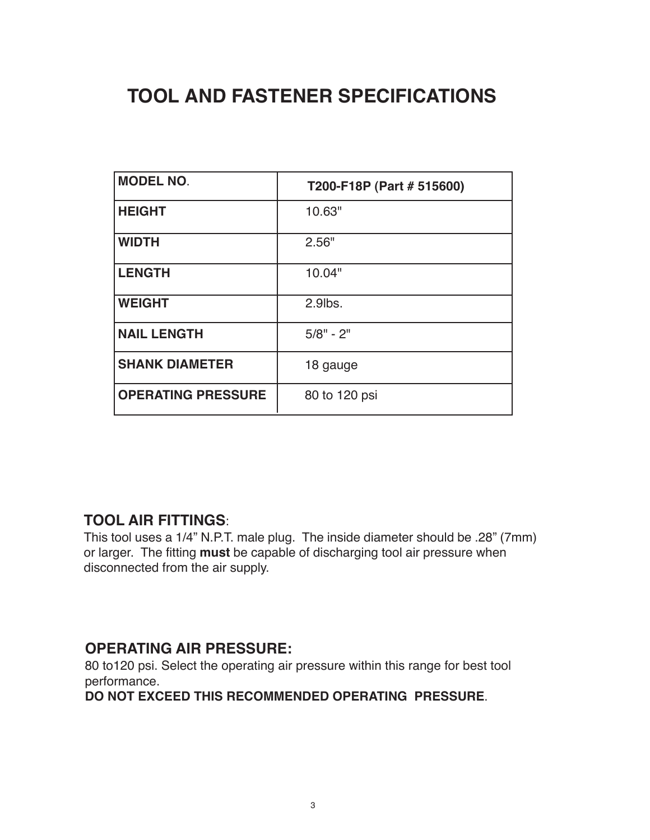# **TOOL AND FASTENER SPECIFICATIONS**

| <b>MODEL NO.</b>          | T200-F18P (Part # 515600) |
|---------------------------|---------------------------|
| <b>HEIGHT</b>             | 10.63"                    |
| <b>WIDTH</b>              | 2.56"                     |
| <b>LENGTH</b>             | 10.04"                    |
| <b>WEIGHT</b>             | 2.9lbs.                   |
| <b>NAIL LENGTH</b>        | $5/8" - 2"$               |
| <b>SHANK DIAMETER</b>     | 18 gauge                  |
| <b>OPERATING PRESSURE</b> | 80 to 120 psi             |

## **TOOL AIR FITTINGS**:

This tool uses a 1/4" N.P.T. male plug. The inside diameter should be .28" (7mm) or larger. The fitting **must** be capable of discharging tool air pressure when disconnected from the air supply.

## **OPERATING AIR PRESSURE:**

80 to120 psi. Select the operating air pressure within this range for best tool performance.

**DO NOT EXCEED THIS RECOMMENDED OPERATING PRESSURE**.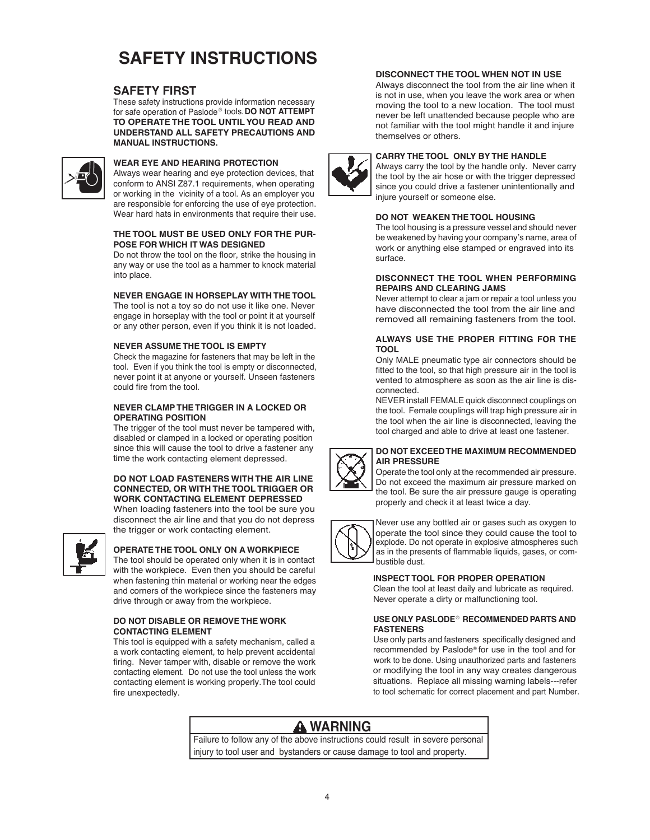# **SAFETY INSTRUCTIONS**

#### **SAFETY FIRST**

These safety instructions provide information necessary for safe operation of Paslode® tools. **DO NOT ATTEMPT TO OPERATE THE TOOL UNTILYOU READ AND UNDERSTAND ALL SAFETY PRECAUTIONS AND MANUAL INSTRUCTIONS.**



#### **WEAR EYE AND HEARING PROTECTION**

Always wear hearing and eye protection devices, that conform to ANSI Z87.1 requirements, when operating or working in the vicinity of a tool. As an employer you are responsible for enforcing the use of eye protection. Wear hard hats in environments that require their use.

#### **THE TOOL MUST BE USED ONLY FOR THE PUR-POSE FOR WHICH IT WAS DESIGNED**

Do not throw the tool on the floor, strike the housing in any way or use the tool as a hammer to knock material into place.

#### **NEVER ENGAGE IN HORSEPLAY WITH THE TOOL**

The tool is not a toy so do not use it like one. Never engage in horseplay with the tool or point it at yourself or any other person, even if you think it is not loaded.

#### **NEVER ASSUME THE TOOL IS EMPTY**

Check the magazine for fasteners that may be left in the tool. Even if you think the tool is empty or disconnected, never point it at anyone or yourself. Unseen fasteners could fire from the tool.

#### **NEVER CLAMP THE TRIGGER IN A LOCKED OR OPERATING POSITION**

The trigger of the tool must never be tampered with, disabled or clamped in a locked or operating position since this will cause the tool to drive a fastener any time the work contacting element depressed.

#### **DO NOT LOAD FASTENERS WITH THE AIR LINE CONNECTED, OR WITH THE TOOL TRIGGER OR WORK CONTACTING ELEMENT DEPRESSED**

When loading fasteners into the tool be sure you disconnect the air line and that you do not depress the trigger or work contacting element.



#### **OPERATE THE TOOL ONLY ON A WORKPIECE**

The tool should be operated only when it is in contact with the workpiece. Even then you should be careful when fastening thin material or working near the edges and corners of the workpiece since the fasteners may drive through or away from the workpiece.

#### **DO NOT DISABLE OR REMOVE THE WORK CONTACTING ELEMENT**

This tool is equipped with a safety mechanism, called a a work contacting element, to help prevent accidental firing. Never tamper with, disable or remove the work contacting element. Do not use the tool unless the work contacting element is working properly.The tool could fire unexpectedly.

#### **DISCONNECT THE TOOL WHEN NOT IN USE**

Always disconnect the tool from the air line when it is not in use, when you leave the work area or when moving the tool to a new location. The tool must never be left unattended because people who are not familiar with the tool might handle it and injure themselves or others.



#### **CARRY THE TOOL ONLY BY THE HANDLE**

Always carry the tool by the handle only. Never carry the tool by the air hose or with the trigger depressed since you could drive a fastener unintentionally and injure yourself or someone else.

#### **DO NOT WEAKEN THE TOOL HOUSING**

The tool housing is a pressure vessel and should never be weakened by having your company's name, area of work or anything else stamped or engraved into its surface.

#### **DISCONNECT THE TOOL WHEN PERFORMING REPAIRS AND CLEARING JAMS**

Never attempt to clear a jam or repair a tool unless you have disconnected the tool from the air line and removed all remaining fasteners from the tool.

#### **ALWAYS USE THE PROPER FITTING FOR THE TOOL**

Only MALE pneumatic type air connectors should be fitted to the tool, so that high pressure air in the tool is vented to atmosphere as soon as the air line is disconnected.

NEVER install FEMALE quick disconnect couplings on the tool. Female couplings will trap high pressure air in the tool when the air line is disconnected, leaving the tool charged and able to drive at least one fastener.



#### **DO NOT EXCEEDTHE MAXIMUM RECOMMENDED AIR PRESSURE**

Operate the tool only at the recommended air pressure. Do not exceed the maximum air pressure marked on the tool. Be sure the air pressure gauge is operating properly and check it at least twice a day.



Never use any bottled air or gases such as oxygen to operate the tool since they could cause the tool to explode. Do not operate in explosive atmospheres such as in the presents of flammable liquids, gases, or combustible dust.

#### **INSPECT TOOL FOR PROPER OPERATION**

Clean the tool at least daily and lubricate as required. Never operate a dirty or malfunctioning tool.

#### **USE ONLY PASLODE RECOMMENDED PARTS AND**  ®**FASTENERS**

Use only parts and fasteners specifically designed and recommended by Paslode® for use in the tool and for work to be done. Using unauthorized parts and fasteners or modifying the tool in any way creates dangerous situations. Replace all missing warning labels---refer to tool schematic for correct placement and part Number.

## **A** WARNING

Failure to follow any of the above instructions could result in severe personal injury to tool user and bystanders or cause damage to tool and property.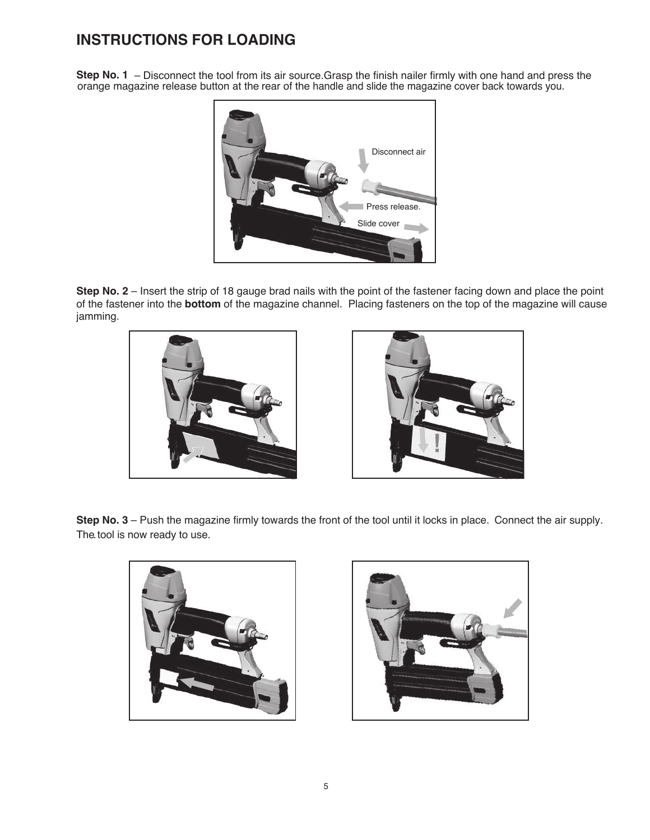## **INSTRUCTIONS FOR LOADING**

**Step No. 1** – Disconnect the tool from its air source.Grasp the finish nailer firmly with one hand and press the orange magazine release button at the rear of the handle and slide the magazine cover back towards you.



**Step No. 2** – Insert the strip of 18 gauge brad nails with the point of the fastener facing down and place the point of the fastener into the **bottom** of the magazine channel. Placing fasteners on the top of the magazine will cause jamming.





**Step No. 3** – Push the magazine firmly towards the front of the tool until it locks in place. Connect the air supply. The. tool is now ready to use.



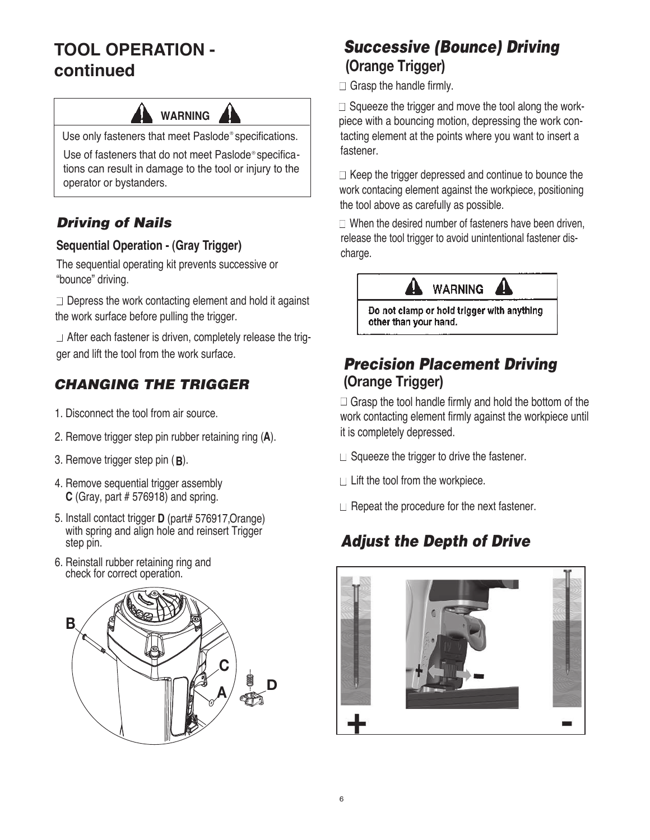# **TOOL OPERATION continued**

# **WARNING**

Use only fasteners that meet Paslode® specifications.

Use of fasteners that do not meet Paslode®specifications can result in damage to the tool or injury to the operator or bystanders.

## *Driving of Nails*

# **Sequential Operation - (Gray Trigger) Charge.** Charge.

The sequential operating kit prevents successive or "bounce" driving.

 $\Box$  Depress the work contacting element and hold it against the work surface before pulling the trigger.

 $\Box$  After each fastener is driven, completely release the trigger and lift the tool from the work surface.

## *CHANGING THE TRIGGER*

- 1. Disconnect the tool from air source.
- 2. Remove trigger step pin rubber retaining ring ( **A** ).
- 3. Remove trigger step pin (**B**).
- 4. Remove sequential trigger assembly **C** (Gray, part # 576918) and spring.
- 5. Install contact trigger **D** (part# 576917,Orange) with spring and align hole and reinsert Trigger step pin.
- 6. Reinstall rubber retaining ring and check for correct operation.



# *Successive (Bounce) Driving*  **(Orange Trigger)**

 $\Box$  Grasp the handle firmly.

 $\Box$  Squeeze the trigger and move the tool along the workpiece with a bouncing motion, depressing the work contacting element at the points where you want to insert a fastener.

 $\Box$  Keep the trigger depressed and continue to bounce the work contacing element against the workpiece, positioning the tool above as carefully as possible.

 $\Box$  When the desired number of fasteners have been driven, release the tool trigger to avoid unintentional fastener dis-



Do not clamp or hold trigger with anything other than your hand.

## *Precision Placement Driving* **(Orange Trigger)**

 $\Box$  Grasp the tool handle firmly and hold the bottom of the work contacting element firmly against the workpiece until it is completely depressed.

- $\Box$  Squeeze the trigger to drive the fastener.
- $\Box$  Lift the tool from the workpiece.
- $\Box$  Repeat the procedure for the next fastener.

# *Adjust the Depth of Drive*

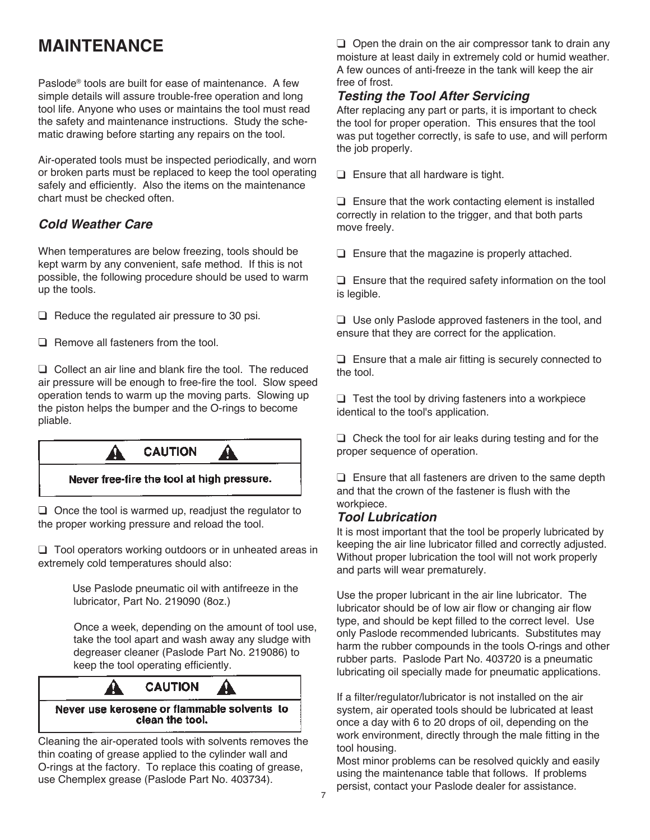# **MAINTENANCE**

Paslode® tools are built for ease of maintenance. A few simple details will assure trouble-free operation and long tool life. Anyone who uses or maintains the tool must read the safety and maintenance instructions. Study the schematic drawing before starting any repairs on the tool.

Air-operated tools must be inspected periodically, and worn or broken parts must be replaced to keep the tool operating safely and efficiently. Also the items on the maintenance chart must be checked often.

## *Cold Weather Care*

When temperatures are below freezing, tools should be kept warm by any convenient, safe method. If this is not possible, the following procedure should be used to warm up the tools.

 $\Box$  Reduce the regulated air pressure to 30 psi.

 $\Box$  Remove all fasteners from the tool.

 $\Box$  Collect an air line and blank fire the tool. The reduced air pressure will be enough to free-fire the tool. Slow speed operation tends to warm up the moving parts. Slowing up the piston helps the bumper and the O-rings to become pliable.



Never free-fire the tool at high pressure.

 $\Box$  Once the tool is warmed up, readjust the regulator to the proper working pressure and reload the tool.

 $\Box$  Tool operators working outdoors or in unheated areas in extremely cold temperatures should also:

> Use Paslode pneumatic oil with antifreeze in the lubricator, Part No. 219090 (8oz.)

 Once a week, depending on the amount of tool use, take the tool apart and wash away any sludge with degreaser cleaner (Paslode Part No. 219086) to keep the tool operating efficiently.



Never use kerosene or flammable solvents to clean the tool.

Cleaning the air-operated tools with solvents removes the thin coating of grease applied to the cylinder wall and O-rings at the factory. To replace this coating of grease, use Chemplex grease (Paslode Part No. 403734).

 $\Box$  Open the drain on the air compressor tank to drain any moisture at least daily in extremely cold or humid weather. A few ounces of anti-freeze in the tank will keep the air free of frost.

## *Testing the Tool After Servicing*

After replacing any part or parts, it is important to check the tool for proper operation. This ensures that the tool was put together correctly, is safe to use, and will perform the job properly.

 $\Box$  Ensure that all hardware is tight.

 $\Box$  Ensure that the work contacting element is installed correctly in relation to the trigger, and that both parts move freely.

 $\Box$  Ensure that the magazine is properly attached.

 $\Box$  Ensure that the required safety information on the tool is legible.

 $\Box$  Use only Paslode approved fasteners in the tool, and ensure that they are correct for the application.

 $\square$  Ensure that a male air fitting is securely connected to the tool.

 $\Box$  Test the tool by driving fasteners into a workpiece identical to the tool's application.

 $\Box$  Check the tool for air leaks during testing and for the proper sequence of operation.

 $\Box$  Ensure that all fasteners are driven to the same depth and that the crown of the fastener is flush with the workpiece.

#### *Tool Lubrication*

It is most important that the tool be properly lubricated by keeping the air line lubricator filled and correctly adjusted. Without proper lubrication the tool will not work properly and parts will wear prematurely.

Use the proper lubricant in the air line lubricator. The lubricator should be of low air flow or changing air flow type, and should be kept filled to the correct level. Use only Paslode recommended lubricants. Substitutes may harm the rubber compounds in the tools O-rings and other rubber parts. Paslode Part No. 403720 is a pneumatic lubricating oil specially made for pneumatic applications.

If a filter/regulator/lubricator is not installed on the air system, air operated tools should be lubricated at least once a day with 6 to 20 drops of oil, depending on the work environment, directly through the male fitting in the tool housing.

Most minor problems can be resolved quickly and easily using the maintenance table that follows. If problems persist, contact your Paslode dealer for assistance.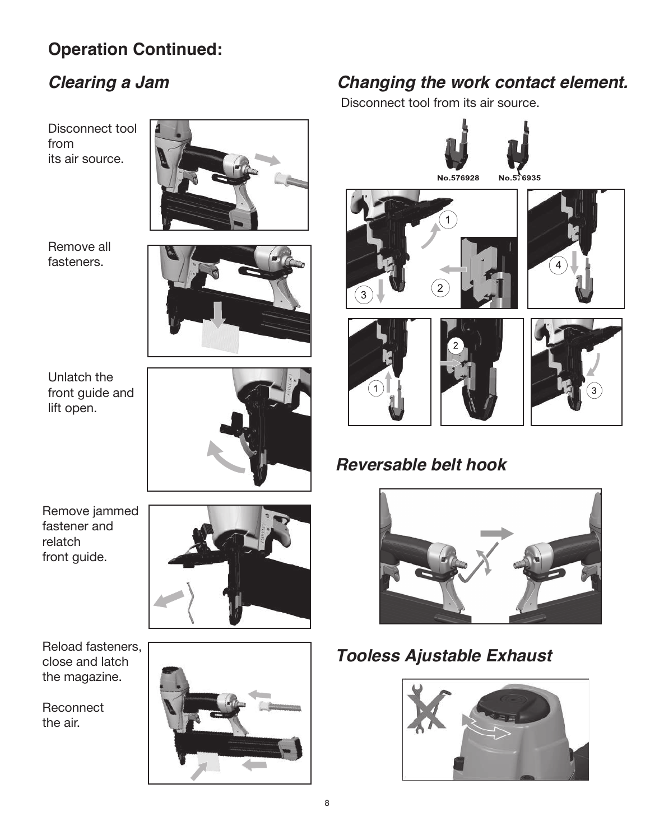# **Operation Continued:**

# *Clearing a Jam*

Disconnect tool from its air source.



Remove all fasteners.



Unlatch the front guide and lift open.



Remove jammed fastener and relatch front guide.



Reload fasteners, close and latch the magazine.

**Reconnect** the air.



# *Changing the work contact element.*

Disconnect tool from its air source.









3



# *Reversable belt hook*



# *Tooless Ajustable Exhaust*

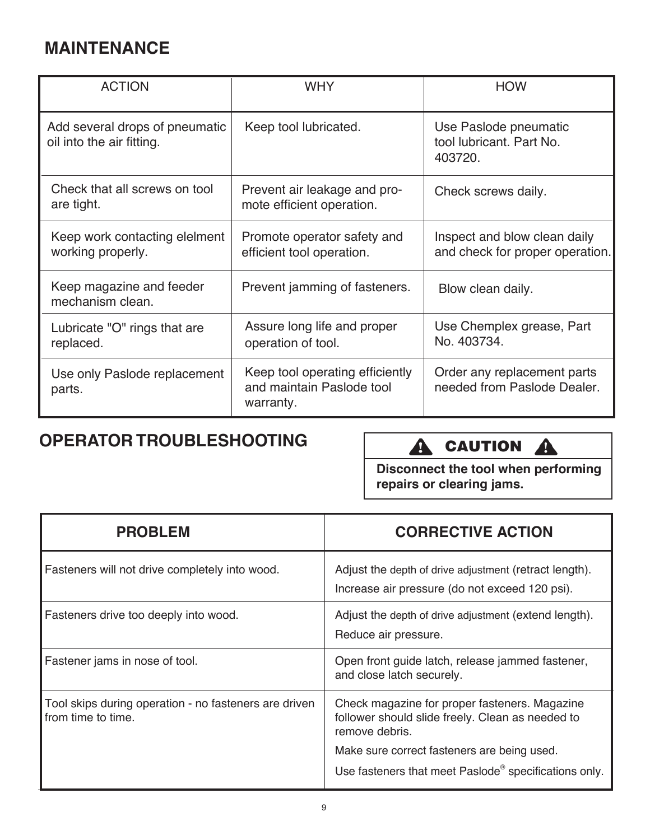# **MAINTENANCE**

| <b>ACTION</b>                                               | <b>WHY</b>                                                                | <b>HOW</b>                                                      |
|-------------------------------------------------------------|---------------------------------------------------------------------------|-----------------------------------------------------------------|
| Add several drops of pneumatic<br>oil into the air fitting. | Keep tool lubricated.                                                     | Use Paslode pneumatic<br>tool lubricant. Part No.<br>403720.    |
| Check that all screws on tool<br>are tight.                 | Prevent air leakage and pro-<br>mote efficient operation.                 | Check screws daily.                                             |
| Keep work contacting elelment<br>working properly.          | Promote operator safety and<br>efficient tool operation.                  | Inspect and blow clean daily<br>and check for proper operation. |
| Keep magazine and feeder<br>mechanism clean.                | Prevent jamming of fasteners.                                             | Blow clean daily.                                               |
| Lubricate "O" rings that are<br>replaced.                   | Assure long life and proper<br>operation of tool.                         | Use Chemplex grease, Part<br>No. 403734.                        |
| Use only Paslode replacement<br>parts.                      | Keep tool operating efficiently<br>and maintain Paslode tool<br>warranty. | Order any replacement parts<br>needed from Paslode Dealer.      |

# **OPERATOR TROUBLESHOOTING**

# **A** CAUTION **A**

**Disconnect the tool when performing repairs or clearing jams.**

| <b>PROBLEM</b>                                                              | <b>CORRECTIVE ACTION</b>                                                                                            |
|-----------------------------------------------------------------------------|---------------------------------------------------------------------------------------------------------------------|
| Fasteners will not drive completely into wood.                              | Adjust the depth of drive adjustment (retract length).<br>Increase air pressure (do not exceed 120 psi).            |
| Fasteners drive too deeply into wood.                                       | Adjust the depth of drive adjustment (extend length).<br>Reduce air pressure.                                       |
| Fastener jams in nose of tool.                                              | Open front guide latch, release jammed fastener,<br>and close latch securely.                                       |
| Tool skips during operation - no fasteners are driven<br>from time to time. | Check magazine for proper fasteners. Magazine<br>follower should slide freely. Clean as needed to<br>remove debris. |
|                                                                             | Make sure correct fasteners are being used.                                                                         |
|                                                                             | Use fasteners that meet Paslode <sup>®</sup> specifications only.                                                   |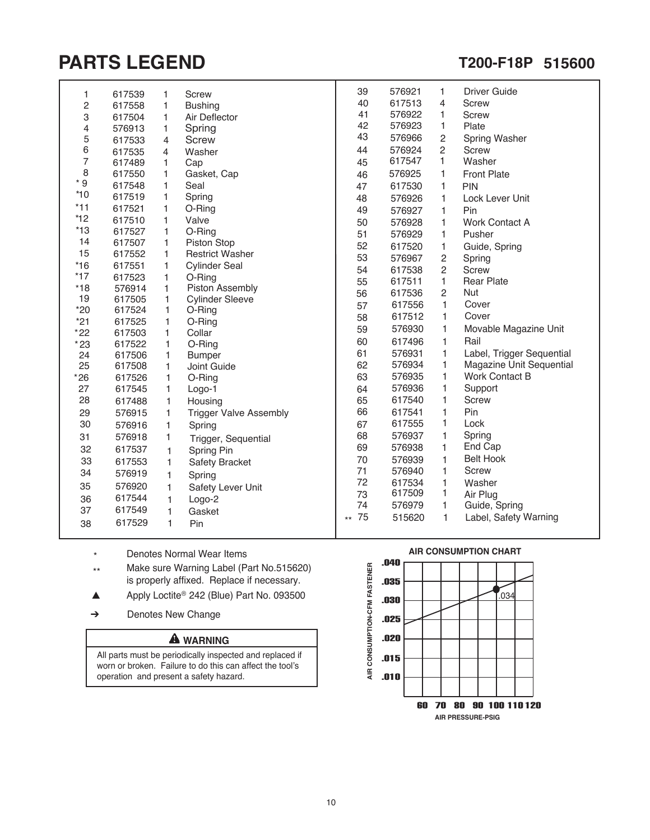# **PARTS LEGEND T200-F18P 515600**

I

| 1                              | 617539           | 1            | Screw                         | 39    | 576921 | 1              | <b>Driver Guide</b>       |
|--------------------------------|------------------|--------------|-------------------------------|-------|--------|----------------|---------------------------|
| $\overline{c}$                 | 617558           | $\mathbf{1}$ | <b>Bushing</b>                | 40    | 617513 | 4              | <b>Screw</b>              |
| 3                              | 617504           | 1            | Air Deflector                 | 41    | 576922 | 1              | <b>Screw</b>              |
| 4                              | 576913           | 1            | Spring                        | 42    | 576923 | 1              | Plate                     |
| 5                              | 617533           | 4            | <b>Screw</b>                  | 43    | 576966 | $\overline{c}$ | Spring Washer             |
| 6                              | 617535           | 4            | Washer                        | 44    | 576924 | $\overline{2}$ | <b>Screw</b>              |
| $\overline{7}$                 | 617489           | 1            | Cap                           | 45    | 617547 | 1              | Washer                    |
| 8                              | 617550           | 1            | Gasket, Cap                   | 46    | 576925 | 1              | <b>Front Plate</b>        |
| $^{\star}$<br>$\boldsymbol{9}$ | 617548           | 1            | Seal                          | 47    | 617530 | 1              | PIN                       |
| $*10$                          | 617519           | 1            | Spring                        | 48    | 576926 | 1              | Lock Lever Unit           |
| $*11$                          | 617521           | 1            | O-Ring                        | 49    | 576927 | 1              | Pin                       |
| $*12$                          | 617510           | 1            | Valve                         | 50    | 576928 | 1              | <b>Work Contact A</b>     |
| $*13$                          | 617527           | 1            | O-Ring                        | 51    | 576929 | 1              | Pusher                    |
| 14                             | 617507           | 1            | Piston Stop                   | 52    | 617520 | 1              | Guide, Spring             |
| 15                             | 617552           | 1            | <b>Restrict Washer</b>        | 53    | 576967 | 2              | Spring                    |
| $*16$                          | 617551           | 1            | <b>Cylinder Seal</b>          | 54    | 617538 | 2              | Screw                     |
| $*17$                          | 617523           | 1            | O-Ring                        | 55    | 617511 | 1              | <b>Rear Plate</b>         |
| $*18$                          | 576914           | 1            | Piston Assembly               | 56    | 617536 | 2              | <b>Nut</b>                |
| 19                             | 617505           | 1            | <b>Cylinder Sleeve</b>        | 57    | 617556 | 1              | Cover                     |
| $*20$                          | 617524           | 1            | O-Ring                        | 58    | 617512 | $\mathbf{1}$   | Cover                     |
| $*21$                          | 617525           | 1            | O-Ring                        | 59    | 576930 | $\mathbf{1}$   | Movable Magazine Unit     |
| $*22$                          | 617503           | 1            | Collar                        | 60    | 617496 | 1              | Rail                      |
| $*23$<br>24                    | 617522           | 1            | O-Ring                        | 61    | 576931 | 1              | Label, Trigger Sequential |
| 25                             | 617506<br>617508 | 1            | <b>Bumper</b><br>Joint Guide  | 62    | 576934 | 1              | Magazine Unit Sequential  |
| $*26$                          | 617526           | 1<br>1       | O-Ring                        | 63    | 576935 | 1              | <b>Work Contact B</b>     |
| 27                             | 617545           | 1            | Logo-1                        | 64    | 576936 | 1              | Support                   |
| 28                             | 617488           | 1            | Housing                       | 65    | 617540 | 1              | <b>Screw</b>              |
| 29                             | 576915           | 1            | <b>Trigger Valve Assembly</b> | 66    | 617541 | 1              | Pin                       |
| 30                             | 576916           | 1            | Spring                        | 67    | 617555 | 1              | Lock                      |
| 31                             |                  | 1            |                               | 68    | 576937 | 1              | Spring                    |
|                                | 576918           |              | Trigger, Sequential           | 69    | 576938 | 1              | End Cap                   |
| 32                             | 617537           | 1            | Spring Pin                    | 70    | 576939 | 1              | <b>Belt Hook</b>          |
| 33                             | 617553           | 1            | Safety Bracket                | 71    | 576940 | 1              | <b>Screw</b>              |
| 34                             | 576919           | 1            | Spring                        | 72    | 617534 | 1              | Washer                    |
| 35                             | 576920           | 1            | Safety Lever Unit             | 73    | 617509 | 1              | Air Plug                  |
| 36                             | 617544           | 1            | Logo-2                        | 74    | 576979 | 1              | Guide, Spring             |
| 37                             | 617549           | 1            | Gasket                        | 75    | 515620 | 1              | Label, Safety Warning     |
| 38                             | 617529           | 1            | Pin                           | $***$ |        |                |                           |
|                                |                  |              |                               |       |        |                |                           |

- \* Denotes Normal Wear Items
- Make sure Warning Label (Part No.515620) is properly affixed. Replace if necessary. \*\*
- $\triangle$  Apply Loctite<sup>®</sup> 242 (Blue) Part No. 093500
- Denotes New Change ➔

#### **A** WARNING

All parts must be periodically inspected and replaced if worn or broken. Failure to do this can affect the tool's operation and present a safety hazard.



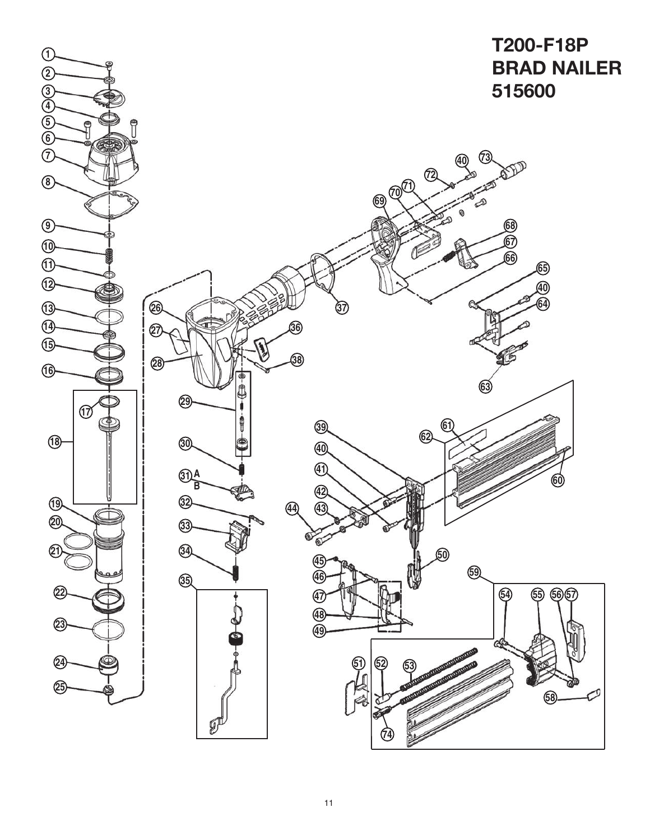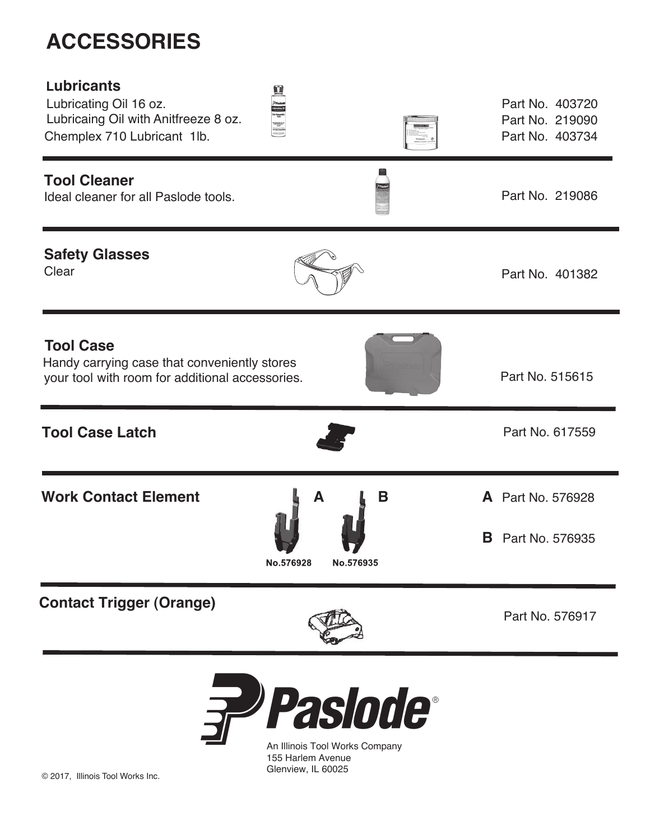# **ACCESSORIES**

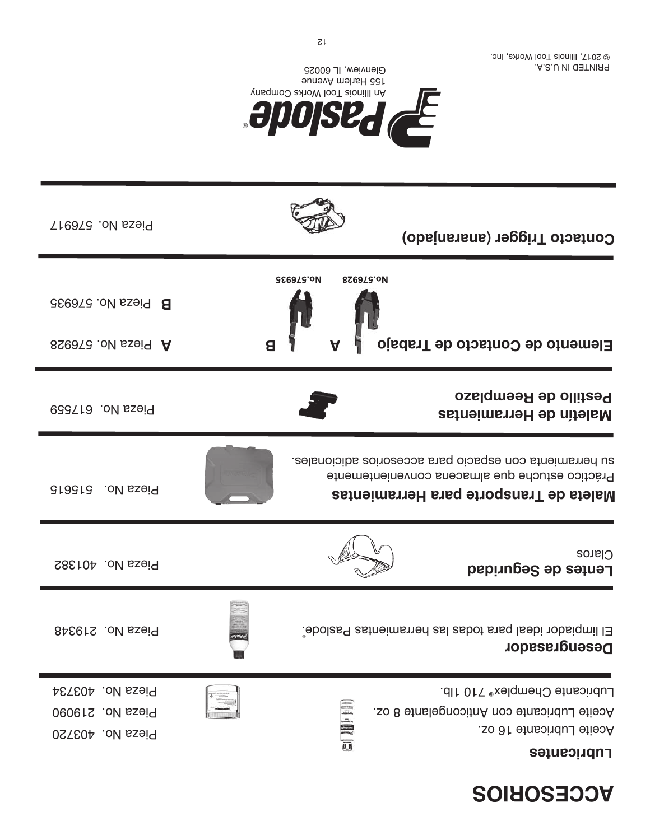# **RCCESORIOS**

| <b>Treas No. 576917</b>                                  | Contacto Trigger (anaranjado)                                                                                                                              |
|----------------------------------------------------------|------------------------------------------------------------------------------------------------------------------------------------------------------------|
| B Pieza No. 576935<br>8S60TG oN sseig A                  | <b>886978.0M</b><br>826978.oM<br>Elemento de Contacto de Trabajo<br>A<br>8                                                                                 |
| Pieza No. 617559                                         | Pestillo de Reemplazo<br><b>Maletín de Herramientas</b>                                                                                                    |
| Pieza No. 515615                                         | su herramienta con espacio para accesorios adicionales.<br>Práctico estuche que almacena convenientemente<br><b>Maleta de Transporte para Herramientas</b> |
| Pieza No. 401382                                         | <b>Claros</b><br>Lentes de Seguridad                                                                                                                       |
| <b>BASELS</b> ON BS919                                   | El limpiador ideal para todas las herramientas Paslode.<br><b>Desengrasador</b>                                                                            |
| Pieza No. 403734<br>Pieza No. 219090<br>Pieza No. 403720 | Lubricante Chemplex <sup>®</sup> 710 1lb.<br>三、同<br>Aceite Lubricante con Anticongelante 8 oz.<br>Aceite Lubricante 16 oz.<br><b>Lubricantes</b>           |



PRINTED IN U.S.A. © 2017, Illinois Tool Works, Inc.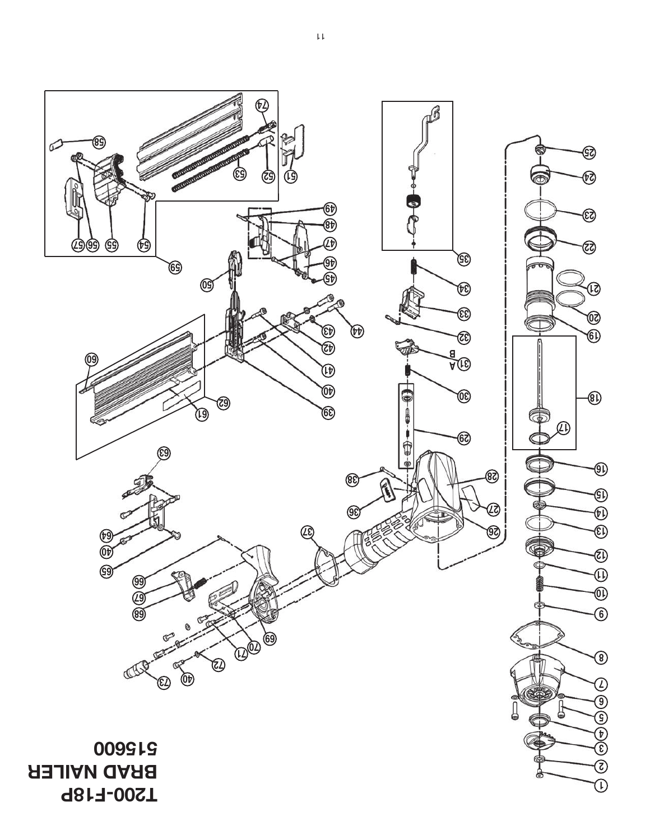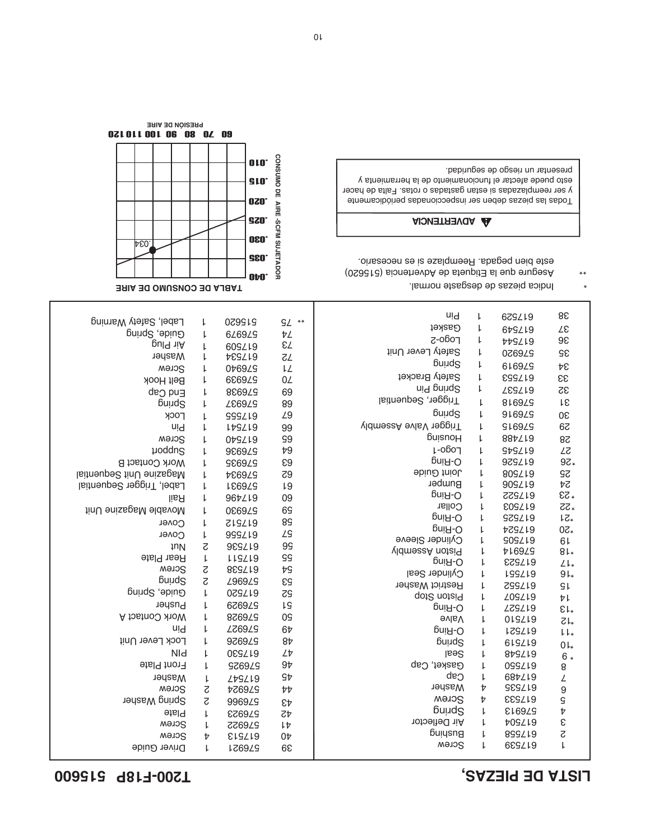## **515600 T200-F18P LISTA DE PIEZAS,**

I

| Label, Safety Warning       | L                        | 029919              | $9L$ **        | uid                                | L                        | 679Z19                         | 88                                       |
|-----------------------------|--------------------------|---------------------|----------------|------------------------------------|--------------------------|--------------------------------|------------------------------------------|
| Guide, Spring               | $\downarrow$             | 626929              | ÞΖ             | Gasket                             | L                        | 679719                         | Zε                                       |
| pul <sup>q</sup> <i>iiA</i> | $\mathsf{L}$             | 609Z19              | εZ             | Logo-2                             | ŀ                        | AAGT10                         | 98                                       |
| Washer                      | L                        | <b>455715</b>       | <b>ZZ</b>      | Safety Lever Unit                  | ŀ                        | <b>976970</b>                  | Sδ                                       |
| Screw                       | ŀ                        | 0 <b>+6929</b>      | ΙL             | pring                              | $\mathord{\text{\rm L}}$ | 61692S                         | Þε                                       |
| <b>Belt Hook</b>            | ŀ                        | 6869ZS              | 0Z             | Safety Bracket                     | L                        | <b>632719</b>                  | 33                                       |
| End Cap                     | ŀ                        | 886929              | 69             | ni <sup>q</sup> pninq2             | $\mathord{\text{\rm L}}$ | <b>SSST18</b>                  | 32                                       |
| <b>Buuds</b>                | ŀ                        | <b>S76877</b>       | 89             | Trigger, Sequential                | L                        | 81692S                         | Tε                                       |
| <b>LOCK</b>                 | L                        | SSS/19              | L9             | <b>Buuds</b>                       | L                        | 91692S                         | Oε                                       |
| uid                         | $\mathsf{L}$             | <b>LDSZ19</b>       | 99             | VidmeseA evlaV 19ggi1T             | L                        | <b>S16975</b>                  | 62                                       |
| Screw                       | L                        | 079719              | 99             | <b>BuisnoH</b>                     | L                        | 887719                         | 58                                       |
| poddng                      | $\downarrow$             | 9869ZS              | $+9$           | L-ogo-1                            | L                        | <b>GA2519</b>                  | 27                                       |
| Work Contact B              | $\mathord{\downarrow}$   | 576935              | E9             | pni <sub>H</sub> -O                | ŀ                        | 929719                         | $9Z*$                                    |
| Magazine Unit Sequential    | $\mathord{\text{\rm L}}$ | <b>426974</b>       | Z9             | Joint Guide                        | ŀ                        | 80SZ19                         | <b>SS</b>                                |
| Label, Trigger Sequential   | $\mathord{\downarrow}$   | <b>186975</b>       | L9             | Bumper                             | $\mathsf{L}$             | 909Z19                         | ÞΖ                                       |
| lisA                        | L                        | 96t/19              | 09             | pni <sub>H</sub> -O                | $\mathsf{L}$             | SS2719                         | 53                                       |
| Movable Magazine Unit       | $\downarrow$             | 0869ZS              | 69             | Collar                             | L                        | E09Z19                         | *22                                      |
| Cover                       | L                        | S17512              | 89             | pni <sub>H</sub> -O                | L                        | <b>617525</b>                  | ts*                                      |
| Cover                       | L                        | 999 <i>L</i> 19     | ΣS             | pni <sub>R</sub> -O                | t                        | <b>429719</b>                  | <b>07*</b>                               |
| <b>IUV</b>                  | S                        | 929719              | 99             | Cylinder Sleeve                    | Ļ                        | <b>GOGZ19</b>                  | 61                                       |
| <b>Rear Plate</b>           | ŀ                        | LISZ19              | <b>GG</b>      | <b>VidmessA</b> notai <sup>q</sup> | $\mathsf{L}$             | <b>716945</b>                  | $8L*$                                    |
| Screw                       | S                        | 865719              | ΨŠ             | pni <sub>H</sub> -O                | L                        | <b>625719</b>                  | $L\mathsf{L}$                            |
| <b>Buuds</b>                | S                        | <b>Z969ZS</b>       | εs             | Cylinder Seal                      | $\mathsf{L}$             | <b>LSS/19</b>                  | $9L_{*}$                                 |
| Guide, Spring               | $\mathord{\text{\rm L}}$ | 029716              | 52             | <b>Restrict Washer</b>             | $\mathsf{L}$             | S25719                         | $\mathsf{GL}$                            |
| Pusher                      | ŀ                        | <b>676929</b>       | ΙS             | Piston Stop                        | L                        | <b>706718</b>                  | ヤト                                       |
| <b>A formoon A</b>          | L                        | <b>826929</b>       | 0S             | p-Ring                             | $\mathord{\text{\rm L}}$ | <b>517527</b>                  | $\epsilon$                               |
| uld                         | ŀ                        | <b>576977</b>       | 67             | <b>Halve</b>                       | $\mathsf{L}$             | 015219                         | $ZL_{*}$                                 |
| Lock Lever Unit             | ŀ                        | 976976              | 8 <sub>b</sub> | p-Ring                             | L                        | <b>JSS718</b>                  | $l_{\star}$                              |
| NId                         |                          | 055719              | LÞ             | pring                              | $\mathsf{L}$             | 61SZ19                         | $0*$                                     |
|                             | ŀ                        |                     |                | Seal                               | L                        | 849219                         | $6*$                                     |
| Front Plate                 | L                        | <b>976975</b>       | 9 <sub>b</sub> | Gasket, Cap<br>Cap                 | $\mathsf{L}$             | 099Z19                         | $\, 8$                                   |
| Washer                      | $\downarrow$             | <b>LAGL19</b>       | <b>SÞ</b>      |                                    | $\mathsf{L}$             | 687Z19                         | L                                        |
| Screw                       | $\varsigma$              | <b>576924</b>       | $b\bar{b}$     | Washer                             | Þ<br>$\overline{v}$      | <b>GEGL19</b><br><b>EESL19</b> | $\boldsymbol{9}$                         |
| Spring Washer               | S                        | 9969 <i>L</i> S     | $E\mathcal{V}$ | Screw<br>pring                     | $\mathsf{L}$             | £16973                         | $\mathsf S$<br>$\ensuremath{\mathit{t}}$ |
| <b>Plate</b>                | $\mathsf{L}$             | 576973              | 42             |                                    | $\mathsf{L}$             |                                |                                          |
| Screw                       | L                        | 576972              | ŀÞ             | <b>Air Deflector</b><br>Buiysng    | L                        | <b>409716</b><br>859719        | $\boldsymbol{\epsilon}$<br>$\varsigma$   |
| Screw                       | Þ                        | E <sub>r</sub> gTra | 0 <sub>b</sub> | Screw                              | $\mathsf{L}$             | 629Z19                         | $\mathsf{L}$                             |
| Driver Guide                | $\mathsf{L}$             | 576921              | 68             |                                    |                          |                                |                                          |

- \* Indica piezas de desgaste normal.
- Asegure que la Etiqueta de Advertencia (515620) este bien pegada. Reemplaze si es necesario. \*\*

#### **A** ADVERTENCIA

Todas las piezas deben ser inspeccionadas periódicamente y ser reemplazadas si estan gastadas o rotas. Falta de hacer esto puede afectar el funcionamiento de la herramienta y presentar un riesgo de seguridad.

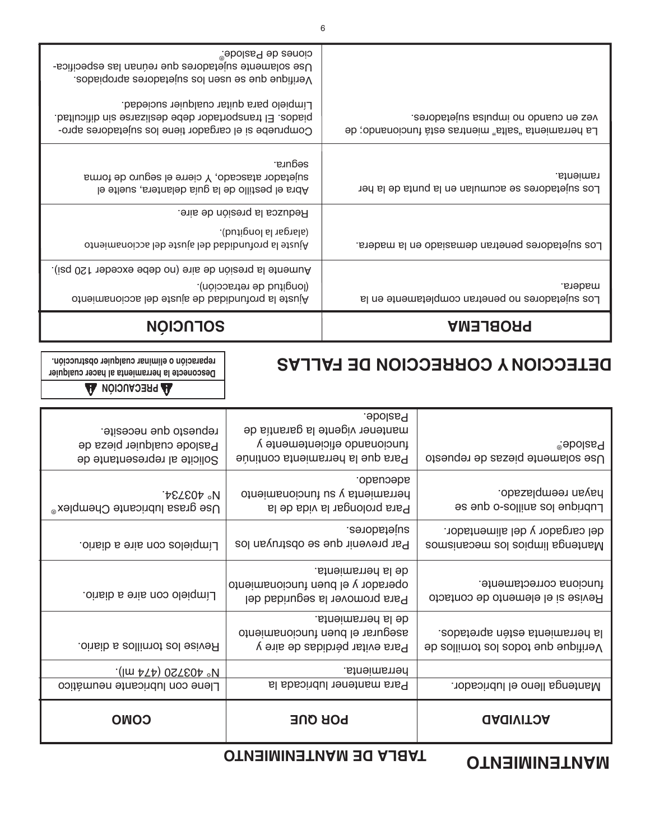## *<u><b>OTABLA DE MANTENIMIENTO</u>*</u>

## **MANTENIMIENTO**

| <b>COMO</b>                                                                          | <b>POR QUE</b>                                                                                      | <b>GAGIVITOA</b>                                                        |
|--------------------------------------------------------------------------------------|-----------------------------------------------------------------------------------------------------|-------------------------------------------------------------------------|
| Llene con lubricante neumático                                                       | Para mantener lubricada la                                                                          | Mantenga lleno el lubricador.                                           |
| $\cdot$ (lm $P(\uparrow)$ 027804 °N                                                  | herramienta.                                                                                        |                                                                         |
| .oinsib a sollinnot aol esiveR                                                       | de la herramienta.<br>asegurar el buen funcionamiento<br>Para evitar pérdidas de aire y             | la herramienta estén apretados.<br>9b sollinnot and sobot sup suplitine |
| Límpielo con aire a diario.                                                          | de la herramienta.<br>operador y el buen funcionamiento<br>Para promover la seguridad del           | funciona correctamente.<br>Revise si el elemento de contacto            |
| Límpielos con aire a diario.                                                         | sujetadores.<br>Par prevenir que se obstruyan los                                                   | del cargador y del alimentador.<br>Bomsings limpios los mecanismos      |
| N° 403734.<br>Use grasa lubricante Chemplex <sup>®</sup>                             | adecuado.<br>berramienta y su funcionamiento<br>Para prolongar la vida de la                        | hayan reemplazado.<br>Lubrique los anillos-o que se                     |
| repuesto que necesite.<br>Paslode cualquier pieza de<br>Solicite al representante de | mantener vigente la garantía de<br>funcionando eficientemente y<br>Para que la herramienta continúe | <sup>®</sup> eboles <sup>®</sup><br>Use solamente piezas de repuesto    |

# **A** PRECAUCIÓN A

### **Desconecte la herramienta al hacer cualquier reparación o eliminar cualquier obstrucción.**

# **DELECCION A COBBECCION DE FALLAS**

Paslode.

| <b>PROBLEMA</b>                                                                               | <b>NOIONTOS</b>                                                                                                                                                                                                                                                     |
|-----------------------------------------------------------------------------------------------|---------------------------------------------------------------------------------------------------------------------------------------------------------------------------------------------------------------------------------------------------------------------|
| madera.<br>Los sujetadores no penetran completamente en la                                    | (Iongitud de retracción).<br>Ajuste la profundidad de ajuste del accionamiento                                                                                                                                                                                      |
|                                                                                               | Aumente la presión de aire (no debe exceder 120 psi).                                                                                                                                                                                                               |
| Los sujetadores penetran demasiado en la madera.                                              | Reduzca la presión de aire.<br>(alargar la longitud).<br>otneimsnoiosa leb etzuja leb babibnutonq sl etzujA                                                                                                                                                         |
| ramienta.<br>Los sujetadores se acumulan en la punta de la her                                | segura.<br>sujetador atascado, Y cierre el seguro de forma<br>Abra el pestillo de la guía delantera, suelte el                                                                                                                                                      |
| vez en cnsupo no impulsa sujetadores.<br>La herramienta "salta" mientras está funcionando; de | Use solamente sujetadores que reúnan las especifica-<br>verifique que se usen los sujetadores apropiados.<br>Límpielo para quitar cualquier suciedad.<br>. El transportador debe deslizarse sin dificultad.<br>Compruebe si el cargador tiene los sujetadores apro- |
|                                                                                               | <sup>®</sup> ebolas <sub>d</sub> eb zenoio                                                                                                                                                                                                                          |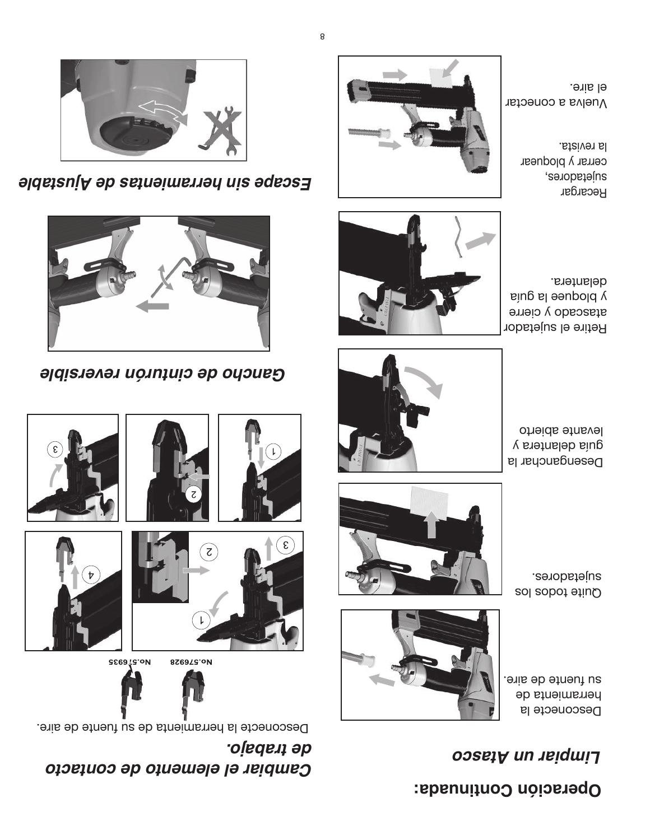# **Operación Continuada:**

## *Limpiar un Atasco*

Desconecte la herramienta de su fuente de aire.



Quite todos los sujetadores.



Deseudaucuar la



guía delantera y levante abierto



Retire el sujetador atascado y cierre y bloquee la guía delantera.



Vuelva a conectar el aire.

> Recargar sujetadores, cerrar y bloquear

la revista.

# *Cambiar el elemento de contacto de trabajo.*

Desconecte la herramienta de su fuente de aire.



















*Gancho de cinturón reversible*



*Escape sin herramientas de Ajustable*

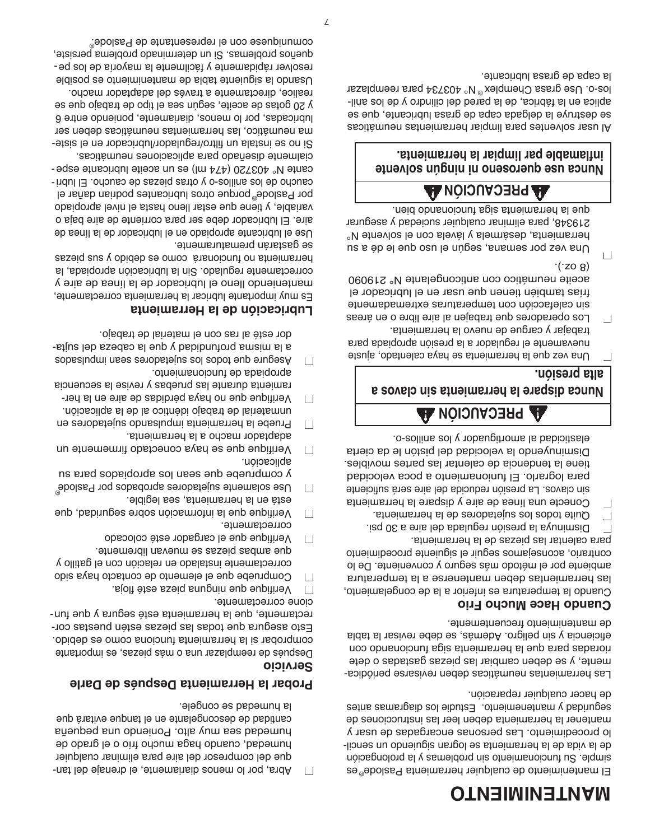# **OT MANTENIMIEN**

El mantenimiento de cualquier herramienta Paslode<sup>®</sup>es nói simple. Su funcionamiento sin proplemas y la prolongación de la vida de la herramienta se logran siguiendo un sencillo procedimiento. Las personas encargadas de usar y mantener la herramienta deben leer las instrucciones de seguridad y mantenemiento. Estudie los logicalmes antes de hacer cualquier reparación.

- Las herramientas neumáticas deben revisarse periódica - mente, y se deben cambiar las piezas gastadas o dete rioradas para que la herramienta siga funcionando con eficiencia y sin peligro. Además, se debe revisar la tabla de mantenimient frecuentemente.

#### **Cuando Hace Mucho Frio**

Cuando la temperatura es inferior a la de congelamiento, las herramientas deben mantenerse a la temperatura ambiente por el método más seguro y conveniente. De lo contrario, aconsejamos seguir el siguiente procedimiento para calentar las piezas de la herramienta.

- $\Box$  Disminuya la presión regulada del aire a 30 psi.
- $\Box$  Quite todos los sujetadores de la herramienta.
- Conecte una línea de aire y dispare la herramienta ■
- sin clavos. La presión reducida del aire será suficiente para lograrlo. El funionamiento a poca velocidad tiene la tendencia de calentar las partes movibles. Disminuyendo la velocidad del pistón le da cierta elasticidad al amortiguador y los anillos-o.

## **A** PRECAUCIÓN **A**

## **os a val c Nunca dispare la herramienta sin**

## **alta presión.**

- Una vez que la herramienta se haya calentado, ajuste nuevamente el regulador a la presión apropiada para trabajar y cargue de nuevo la herramienta.
- $\Box$  Los operadores que trabajen al aire libre o en áreas sin calefacción con temperaturas extremadamente frías también tienen que usar en el lubricador el aceite neumático con anticongelante N° 219090  $(208)$
- $\Box$  Una vez por semana, según el uso que le dé a su herramienta, desármela y lávela con el solvente N° 219348, para eliminar cualquier suciedad y asegurar que la herramienta siga funcionando bien.

# **URECAUCIÓN AA**

### **hinca use dnescuo ujunca use drama le par limpiar la herramienta. b inflama**

Al usar solventes para limpiar herramientas neumáticas se destruye la delgada capa de grasa lubricante, que se aplica en la fábrica, de la pared del cilindro y de los anillos-o. Use grasa Chemplex<sup>®</sup> N° 403734 para reemplazar la capa de grasa lubricante.

 $\Box$  Abra, por lo menos diariamente, el drenaje del tanque del compresor del aire para eliminar cualquier humedad, cuando haga mucho frío o el grado de humedad sea muy alto. Poniendo una pequeña cantidad de descongelante en el tanque evitará que la humedad se congele.

## **Probar la Herramienta Después de Darle**

## **vicio r Se**

Después de reemplazar una o más piezas, es importante comprobar si la herramienta funciona como es debido. Esto asegura que todas las piezas estén puestas correctamente, que la herramienta esté segura y que funcione correctamente.

- 
- $\Box$  Verifique que ninguna pieza esté floja. Compruebe que el elemento de contacto haya sido ■
- correctamente instalado en relación con el gatillo y que ambas piezas se muevan libremente.
- Verifique que el cargador esté colocado correctamente.
- Verifique que la información sobre seguridad, que ■
- está en la herramienta, sea legible. Use solamente sujetadores aprobados por Paslode ■ ®y compruebe que sean los apropiados para su
- aplicación. Verifique que se haya conectado firmemente un ■
- adaptador macho a la herramienta. Pruebe la herramienta impulsando sujetadores en ■
- unmaterial de trabajo idéntico al de la aplicación.  $\Box$  Verifique que no haya pérdidas de aire en la her-
- ramienta durante las pruebas y revise la secuencia apropiada de funcionamiento.
- $\Box$  Asegure and to poperties sof support on pulsage subsetions a la misma profundidad y que la cabeza del sujtador esté al ras con el material de trabajo.

## **Lubricación de la Herramienta**

Es muy importante lubricar la herramienta correctamente, manteniendo lleno el lubricador de la línea de aire y correctamente regulado. Sin la lubricación apropiada, la herramienta no funcionará como es debido y sus piezas

se gastarán prematuramente. Use el lubricante apropiado en el lubricador de la línea de aire. El lubricador debe ser para corriente de aire baja o variable, y tiene que estar lleno hasta el nivel apropiado por Paslode® porque otros lubricantes podrian dañar el caucho de los anillos-o y otras piezas de caucho. El lubricante N° 403720 (474 ml) es un aceite lubricante especialmente diseñado para aplicaciones neumáticas. Si no se instala un filtro/regulador/lubricador en el sistema neumático, las herramientas neumáticas deben ser lubricadas, por lo menos, diariamente, poniendo entre 6

y 20 gotas de aceite, según sea el tipo de trabajo que se realice, directamente a través del adaptador macho. Usando la siguiente tabla de mantenimiento es posible - resolver rápidamente y fácilmente la mayoría de los pe queños problemas. Si un determinado problema persiste, comuniquese con el representante de Paslode. ®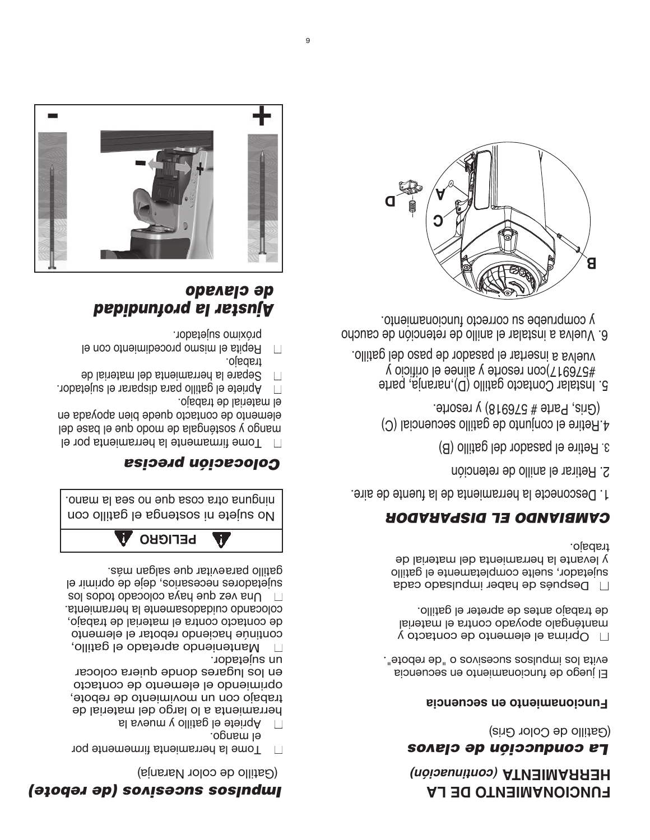# *Impulsos sucesivos (de rebote)*

(Gatillo de color Naranja)

- $\Box$  Tome la herramienta firmemente por el mango.
- $\Box$  Apriete el gatillo y mueva la

herramienta a lo largo del material de trabajo con un movimiento de rebote, oprimiendo el elemento de contacto en los lugares donde quiera colocar un sujetador.

Manteniendo apretado el gatillo, ■ continúe haciendo rebotar el elemento de contacto contra el material de trabajo, colocando cuidadosamente la herramienta.  $\Box$  Una vez que haya colocado tobos los sujetadores necesarios, deje de oprimir el gatillo paraevitar que salgan más.



ninguna otra cosa que no sea la mano. No sujete ni sostenga el gatillo con

## *Colocación precisa*

 $\Box$  Tome firmamente la herramienta por el mango y sosténgala de modo que el pase del elemento de contacto quede bien apoyada en el material de trabajo.

- $\Box$  Apriete el gatillo para disparar el sujetador.
- $\Box$  Separe la herramienta del material de
- trabajo.  $\Box$  Repita el mismo procedimiento con el
- próximo sujetador.

## *Ajustar la profundidad de clavado*



# **FUNCIONAMIENTO DE LA** *uación) n (conti* **A T HERRAMIEN**

## *La conducción de clavos*

(Gatillo de Color Gris)

## **Funcionamiento en secuencia**

El juego de funcionamiento en secuencia evita los impulsos sucesivos o "de rebote".

Oprima el elemento de contacto y ■ manténgalo apoyado contra el material de trabajo antes de apreter el gatillo.

 $\Box$  Después de haber impulsado cada sujetador, suelte completamente el gatillo y levante la herramienta del material de trabajo.

## *CAMBIANDO EL DISPARADOR*

1. Desconecte la herramienta de la fuente de aire.

- 2. Retirar el anillo de retención
- 3. Retire el pasador del gatillo (B)
- 4.Retire el conjunto de gatillo secuencial (C) (Gris, Parte # 576918) y resorte.
- 5. Instalar Contacto gatillo (D),naranja, parte #576917)con resorte y alinee el orificio y vuelva a insertar el pasador de paso del gatillo.
- 6. Vuelva a instalar el anillo de retención de caucho y compruebe su correcto funcionamiento.

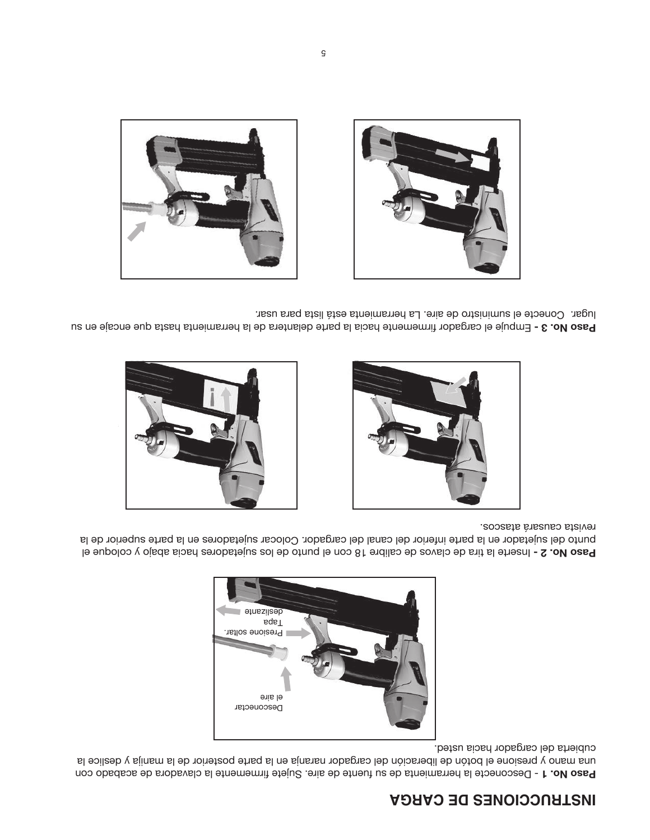# **INSTRUCCIONES DE CARGA**

Paso No. 1 - Desconecte la herramienta de sufuente de aire. Sujete manemente la clavadora de acabado con una mano y presione el botón de liberación del cargador naranja en la parte posterior de la manija y deslice la cubierta del cargador hacia usted.



Paso No. 2 - Inserte la tira de clavos de calibre 18 con el punto de los sujetadores hacia abajo y coloque el punto del sujetador en la parte inferior del canal del cargador. Colocar sujetadores en la parte superior de la revista causará atascos.





Paso No. 3 - Empuje el cargador firmemente hacia la parte delantera de la herramienta hasta que encaje en su lugar. Conecte el suministro de aire. La herramienta está lista para usar.



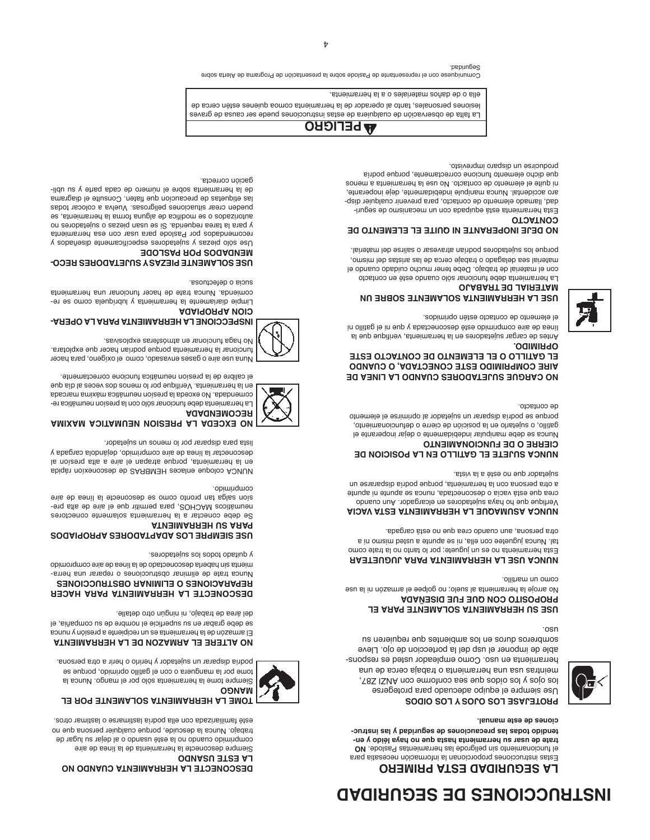# **ADAPPIDES DE SEGURIDAD**

## **LA SEGURIDAD ESTA PRIMERO**

Estas instrucciones proporcionan la información necesatia para **ON** abolas Pastneims med al ebongiled nia otneims noint le **- a léido y en ya trate de usar su herramienta hasta que no h - tendido todas las precauciones de seguridad y las instruc ual. n ciones de este ma**



uso.

#### **BOLLE YOUS OPPORT OF ORPOS**

Use siempre el equipo adecuado para protegerse los ojos y los oídos que sea conforme con ANZI Z87, meintras usa una herramienta o trabaja cerca de una herramienta en uso. Como empleador usted es responsable de imponer el usp del la porteccion de ojo. Lleve sombreros duros en los ambientes que requieren su

#### **USE SU HERRAMIENTE ATABLE PARA EL PROPOSITO CON QUE FUE DISENADA**

No arroje la herramienta al suelo; no golpee el armazón ni la use como un martillo.

**HERRY DISE LA HERRAMIENTA A JUGUETEAR** Esta herramienta no es un juguete; por lo tanto no la trate como tal. Nunca juguetee con ella, ni se apunte a usted mismo ni a otra persona, aun cuando crea que no está cargada.

#### **MUNCA ASUMAQUE LA HERRAMIENTA ESTA VACIA**

Verfique que ho haya sujetadores en elcargador. Aun cuando crea que está vacía o desconectada, nunca se apunte ni apunte a otra persona con la herramienta, porque podría dispararse un sujetador que no esté a la vista.

#### **TILLE EL GATILLO EN LA POSICION DE OT CIERRE O DE FUNCIONAMIEN**

Nunca se debe manipular indebidamente o dejar inoperante el gatillo, o sujetarlo en la posición de cierre o defuncionamiento, porque se podría disparar un sujetador al oprimirse el elemento

de contacto.

#### **MO CARGUE SUJETADORES CUANDO LA LINEA DE AIRE COMPRIMIDO ESTE CONECTADA, O CUANDO EL GATILLO O EL ELEMENTO DE CONTACTO ESTE . O OPRIMID**

Antes de cargar sujetadores en la herramienta, verifique que la línea de aire comprimido esté desconectada y que ni el gatillo ni

el elemento de contacto estén oprimidos.

#### **USE LA HERRAMIENTE SOBRE UN B ANDREBUTE BY THE PRIMI**

La herramienta debe funcionar sólo cuando esté en contacto con el material de trabajo. Debe tener mucho cuidado cuando el material sea delagado o trabaje cerca de las aristas del mismo, porque los sujetadores podrían atravesar o salirse del material.

#### **UO DEJE INOPERANTE NI QUITE EL ELEMENTO DE OTOATNOO**

Esta herramienta está equipada con un mecanismo de seguri-- dad, llamado elemento de contacto, para prevenir cualquier disp aro accidental. Nunca manipule indebidamente, deje inoperante, ni quite el elemento de contacto. No use la herramienta a menos que dicho elemento funcione correctamente, porque podría

producirse un disparo imprevisto.



La falta de observación de cualquiera de estas instrucciones puede ser causa de graves lesiones personales, tanto al operador de la herramienta comoa quienes estén cerca de

. ella o de daños materiales o a la herramienta

Comuníquese con el representante de Paslode sobre la presentación de Programa de Alerta sobre Seguridad.



# **A MI AX M ACI TAMU NE NOI S PRE AL ADE EXC ON RECOMENDADA**

comprimido.

La herramienta debe funcionar sólo con la presion neumática recomendada. No exceda la presion neumática maixima marcada en la herramienta. Verifique por lo menos dos veces al día que el calibre de la presíon neumática funcione correctamente.

**DESCONECTE LA HERRAMIENTA CUANDO NO** 

Siempre tome la herramienta sólo por el mango. Nunca la tome por la manguera o con el gatillo oprimido, porque se podría disparar un sujetador y herirlo o herir a otra persona. **ATERE EL ARMAZON DE LA HERRAMIENTA** El armazón de la herramienta es un recipiente a presión y nunca se debe grabar en su superficie el nombre de su compañia, el

**DESCONECTE LA HERRAMIENTA PARA HACER REPRENDICES** O ELIMINAR OBSTRUCCIONES Nunca trate de eliminar obstrucciones o reparar una herraobimonquoo enis eb senil al eb obstoenoozeb shedad nis stneim

**OPIADOS R AP ADORES T AP DA LOS SIEMPRE USE**

Se debe conectar a la herramienta solamente conectores - enq alta de aire le eup nitim due para para presion ablga tan outo como se qesconecte la linea de aire

repiqà noixenoseb eb 2ARBMEH sesalne eupolos AOUUN l a noí ser p atl <sup>a</sup> <sup>a</sup> eri al <sup>e</sup> n apa rt <sup>a</sup> euqr op , at nei marr he al ne desconectar la línea de aire comprimido, dejándola cargada y

lista para disparar por lo menos un sujetador.

del área de trabajo, ni ningún otro detalle.

y quitado todos los sujetadores.

**ATNEIMARREH US ARAS** 

Siempre desconecte la herramienta de la línea de aire combrimido cuando no la esté usando o al dejar su lugar de trabajo. Nunca la descuide, porque cualquier persona que no esté familiarizada con ella podría lastimarse o lastimar otros. *A SOLAMER POR EL TA BOLAMENTE POR EL* 

**LA ESTE USANDO**

**MANGO**

Nuna use aire o gases envasado, como el oxígeno, para hacer funcionar la herramienta porque podrían hacer que explotara. No haga funcionar en atmósferas explosivas.

## **HEBECCIONE LA HERRAMIENTA PARA LA OPERA-**

**AGAIRORRA MOIO** Limpie diariamente la herramienta y lubriquela como se recomienda. Nunca trate de hacer funcionar una herramienta

sucia o defectuosa.

#### **- OC RE S ADORE TEJ US YS EZA I P E SOLAMENT E US ADOS POR PASLODE**

V sobsñadis y subetadores específicamente diseñados y recomendados por Paslode para usar con esa herramienta y para la rea periores no piezas o personale da para y se es international alguna para forma la forma de se especiente se o sobezitotus pueden crear situaciones peligrosas. Vuelva a colocar todas las etiquetas de precaucíon que flaten. Consulte el diagrama de la herramienta sobre el número de cada parte y su ubligación correcta.

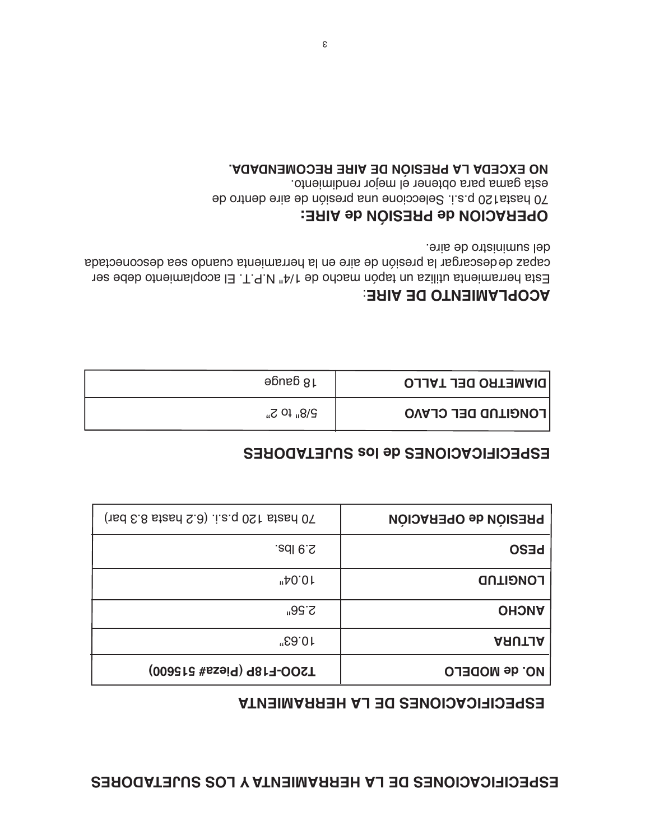## **ESPECIFICACIONES DE LA HERRAMIENTA Y LOS SUJETADORES**

## **ESPECIFICACIONES DE LA HERRAMIENTA**

| <b>PRESIÓN de OPERACIÓN</b> | $(\text{red } \epsilon \text{.8} \text{ is real } \Omega)$ i.e.q 0St stand 0T |
|-----------------------------|-------------------------------------------------------------------------------|
| <b>DE20</b>                 | $2.9$ lbs.                                                                    |
| <b>LONGITUD</b>             | "40.01"                                                                       |
| <b>OHONA</b>                | <b>2.56"</b>                                                                  |
| <b>ARUTJA</b>               | 10.63"                                                                        |
| <b>NO. de MODELO</b>        | T2OO-F18P (Pieza# 515600)                                                     |

## **ESPECIFICACIONES de los SUJETADORES**

| <b>DIAMETRO DEL TALLO</b> | 18 gauge                   |
|---------------------------|----------------------------|
| <b>LONGITUD DEL CLAVO</b> | $P\$ <sub>u</sub> fo $S_n$ |

## **ACOPLAMIENTO DE AIRE:**

Esta herramienta utiliza un tapón macho de 1/4" N.P.T. El acoplamiento debe ser capaz de descargar la presión de aire en la herramienta cuando sea desconectada del suministro de aire.

## **CION de PRESIÓN de AIRE: A OPER**

70 hasta120 p.s.i. Seleccione una presión de aire dentro de esta gama para obtener el mejor rendimiento. **MO EXCEDY LA PRESIÓN DE AIRE RECOMENDADA.**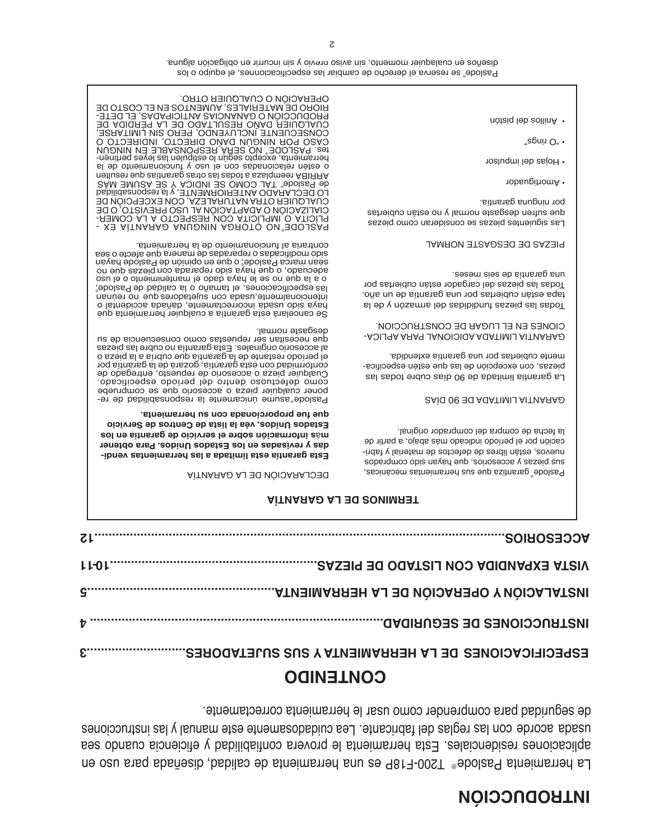# **INTRODUCCIÓN**

La herramienta Paslode® 1200-F18P es una herramienta de calidad, disenada para uso en aplicaciones residenciales. Esta herramienta le provera confiabilidad y eficiencia cuando sea usada acorde con las regias del fabricante. Lea cuidadosamente este manual y las instrucciones de seguridad para comprender como usar le herramienta correctamente.

# **CONTENIDO**

| $71$ |                                                      |
|------|------------------------------------------------------|
|      |                                                      |
|      |                                                      |
|      |                                                      |
|      | ESPECIFICACIONES DE LA HERRAMIENTA Y SUS SUJETADORES |

#### **AÍ TERMINOS DE LA GARANT**

#### DECLARACIÓN DE LA GARANTÍA

**- Esta garantía esta limitada a las herramientas vendi ara obtener P. visadas en los Estados Unidos e das y r vicio de garantía en los r ormación sobre el se f s in** á **m vicio r os de Se r véa la lista de Cent , Estados Unidos cionada con su herramienta. r opo r que fue p**

Paslode® asume únicamente la responsabilidad de reponer cualquier pieza o accesorio que se compruebe como defectuoso dentro del período especificado. de entregado repuesto, de accesorio de repuesto, entregado de<br>conformidad con esta garantía, gozará de la garantía por<br>conformidad con esta garantía, gozará de la garantía por al accesorio originales. Esta garantía no cubre las piezas dne uecezitan ser repuestas como consecuencia en p desgaste normal.

sesu upica <sub>b</sub>apole, o dne eu obinión de las especificaciones, el tamaño o la calidad de Paslode, Se cancelará esta garantía a cualquier herramienta que paya sido usada incorrectamente, dañada accidental o are ioporalmente con angerente ou o intencional o a la o ofneiminento le haya dado el mantenimiento o el uso au enp sezeiq nos ebeneder obis even enp o copensepe s'ienam eb asba'iader o asbaoi'ilbom obi<mark>e</mark><br>aper al eb otneimanoionut la sinattroo p Paslode hayan<br>Paslode hayan mienta.

- XE AITINARAD ANUQUIIN ADROTO ON EQUIQUE - COMER LA A RESPECTO CON IMPLÍCITA O PLÍCITA DE O PREVISTO, USO AL ADAPTACIÓN O CIALIZACIÓN CUALQUIER OTRA NATURALEZA, CON EXCEPCION DE LO DECLARADO ANTERIORMENTE, y la responsabilidad ASUME MATH OND SE INDICA Y SE ASUME MAS n estimate a serius as te ul serge da partida estimate da la proporta de la proporció el sino de la proporcio<br>La le productional y oeu le nos esbanoisalen nètee o a l ed ot nei manoi conunt y osul e né statementa de la pertinen las estipulen las estipulen lo según excepto según lo estipulen las estipulen los estimentas estimenta, NINGÚN EN RESPONSABLE SERÁ NUNCÚN EN RESPONSABLE SERÁ O OTCHERING INDIVIDUATION INDIRECTO O COMSECUENTE INCLUYENDO, PERO SIN LIMITARSE, E DODAN COMANICIPADAS, EL DETERTE EL ANTICIPADAS, EL DETERTE BIORO DE MATERIALES, AUMENTOS EN EL COSTO DE OPERACIÓN O CUALQUIER OTRO. ® ®

> Paslode<sup>®</sup> garantiza que sus herramientas mecánicas, sope.duoo opis ue hayan en 'souseoor A sezeid sns nuevos, están libres de defectos de material y fabricación por el período indicado más abajo, a partir de la fecha de compra del comprador original.

**SAÍG 06 EO AGATIMIJ AITVARAO** 

La garantia limitada de 90 días cubre todas las biezas, con excepción de las que estén especificamente cubiertas por una garantía extendida.

- AOIJ AA AAA JA AOI OI AA AAATIMIJ AIT UA AA CIONES EN EL LUGAR DE CONSTRUCCION.

odas las piezas fundididas del armazón y de la T tapa están cubiertas por una garantía de un año. odas las piezas del cargador están cubiertas por T una garantía de seis meses.

#### PIEZAS DE DESGASTE NORMAL

Las siguientes piezas se consideran como piezas que sufren desgaste normal y no están cubiertas por ninguna garantía.

- Amortiguador •
- Hojas del impulsor
- " $e$ epnin O" •
- Anillos del pistón •

Paslode® se reserva el derecho de cambiar las especificacionnes, el equipo o los en obligación alguna. En cualadio en cualado alguna. A cualadio previo preseño preseño preseño previo en cual